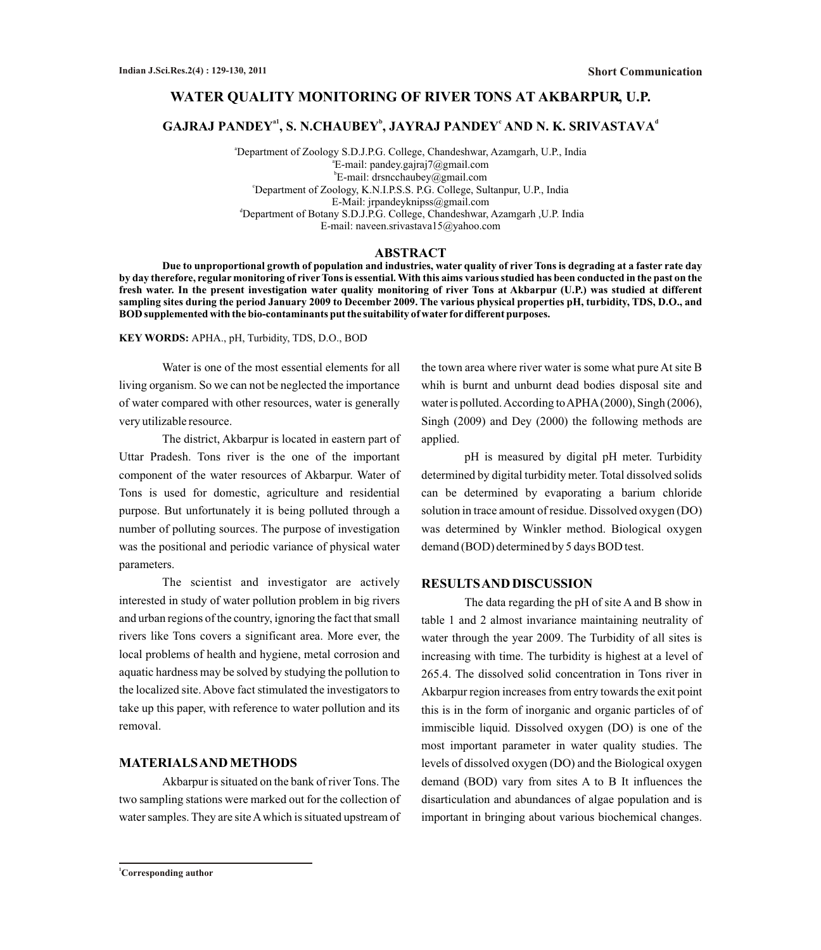## **WATER QUALITY MONITORING OF RIVER TONS AT AKBARPUR, U.P.**

## $\mathbf{GAJRAJ}$  <code>PANDEY $^{\mathrm{a1}}$ , S. N.CHAUBEY $^{\mathrm{b}}$ , JAYRAJ PANDEY $^{\mathrm{c}}$  AND N. K. SRIVASTAVA $^{\mathrm{d}}$ </code>

<sup>a</sup>Department of Zoology S.D.J.P.G. College, Chandeshwar, Azamgarh, U.P., India a E-mail: pandey.gajraj7@gmail.com b E-mail: drsncchaubey@gmail.com <sup>c</sup>Department of Zoology, K.N.I.P.S.S. P.G. College, Sultanpur, U.P., India E-Mail: jrpandeyknipss@gmail.com <sup>d</sup>Department of Botany S.D.J.P.G. College, Chandeshwar, Azamgarh , U.P. India E-mail: naveen.srivastava15@yahoo.com

## **ABSTRACT**

**Due to unproportional growth of population and industries, water quality of river Tons is degrading at a faster rate day by day therefore, regular monitoring of riverTons is essential. With this aims various studied has been conducted in the past on the fresh water. In the present investigation water quality monitoring of river Tons at Akbarpur (U.P.) was studied at different sampling sites during the period January 2009 to December 2009. The various physical properties pH, turbidity, TDS, D.O., and BOD supplemented with the bio-contaminants put the suitability of water fordifferent purposes.** 

**KEY WORDS:** APHA., pH, Turbidity, TDS, D.O., BOD

Water is one of the most essential elements for all living organism. So we can not be neglected the importance of water compared with other resources, water is generally very utilizable resource.

The district, Akbarpur is located in eastern part of Uttar Pradesh. Tons river is the one of the important component of the water resources of Akbarpur. Water of Tons is used for domestic, agriculture and residential purpose. But unfortunately it is being polluted through a number of polluting sources. The purpose of investigation was the positional and periodic variance of physical water parameters.

The scientist and investigator are actively interested in study of water pollution problem in big rivers and urban regions of the country, ignoring the fact that small rivers like Tons covers a significant area. More ever, the local problems of health and hygiene, metal corrosion and aquatic hardness may be solved by studying the pollution to the localized site. Above fact stimulated the investigators to take up this paper, with reference to water pollution and its removal.

#### **MATERIALS AND METHODS**

Akbarpur is situated on the bank of river Tons. The two sampling stations were marked out for the collection of water samples. They are site Awhich is situated upstream of the town area where river water is some what pure At site B whih is burnt and unburnt dead bodies disposal site and water is polluted. According to APHA(2000), Singh (2006), Singh (2009) and Dey (2000) the following methods are applied.

pH is measured by digital pH meter. Turbidity determined by digital turbidity meter. Total dissolved solids can be determined by evaporating a barium chloride solution in trace amount of residue. Dissolved oxygen (DO) was determined by Winkler method. Biological oxygen demand (BOD) determined by 5 days BOD test.

## **RESULTS AND DISCUSSION**

The data regarding the pH of site A and B show in table 1 and 2 almost invariance maintaining neutrality of water through the year 2009. The Turbidity of all sites is increasing with time. The turbidity is highest at a level of 265.4. The dissolved solid concentration in Tons river in Akbarpur region increases from entry towards the exit point this is in the form of inorganic and organic particles of of immiscible liquid. Dissolved oxygen (DO) is one of the most important parameter in water quality studies. The levels of dissolved oxygen (DO) and the Biological oxygen demand (BOD) vary from sites A to B It influences the disarticulation and abundances of algae population and is important in bringing about various biochemical changes.